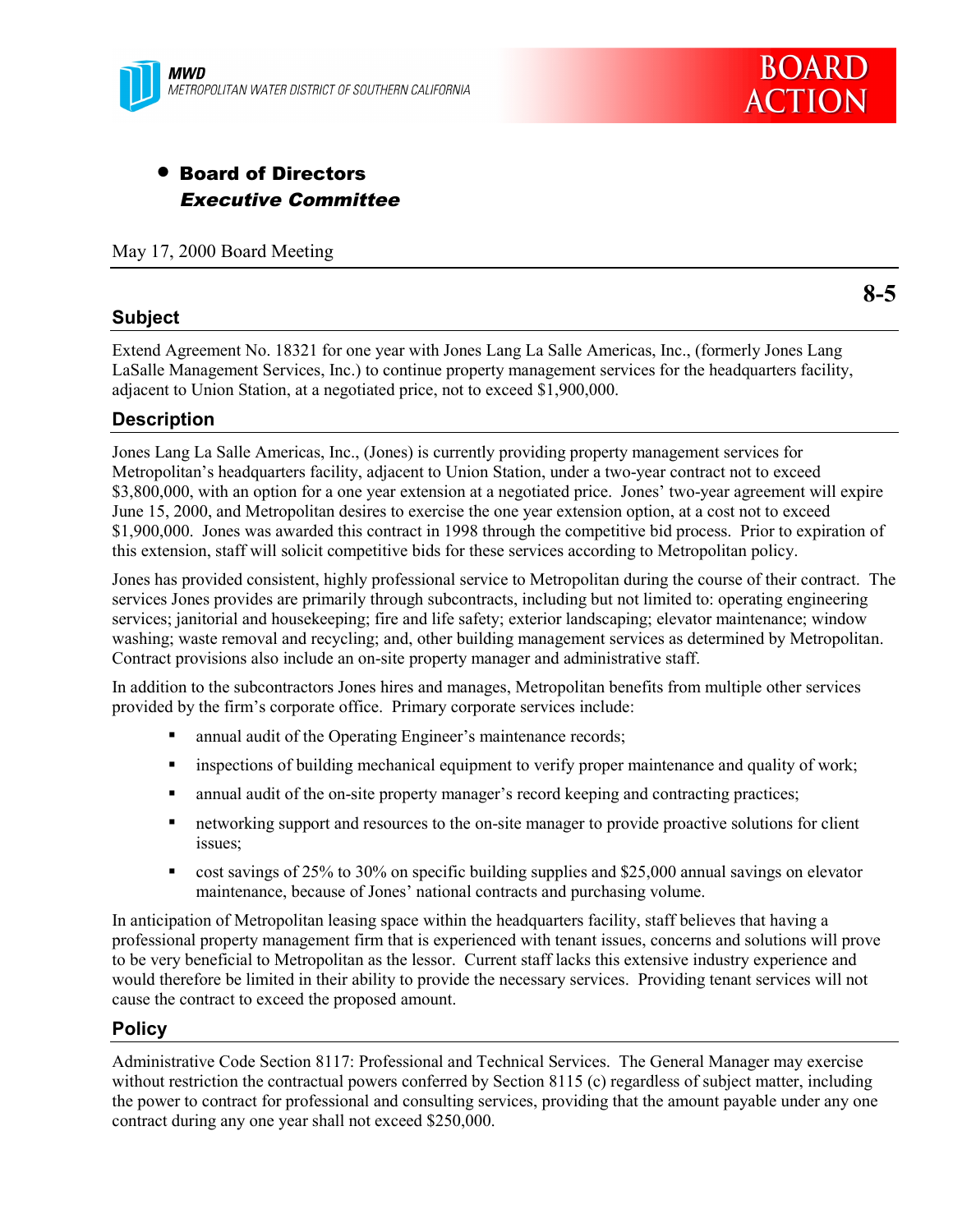

# • Board of Directors Executive Committee

May 17, 2000 Board Meeting

## **Subject**

**8-5**

Extend Agreement No. 18321 for one year with Jones Lang La Salle Americas, Inc., (formerly Jones Lang LaSalle Management Services, Inc.) to continue property management services for the headquarters facility, adjacent to Union Station, at a negotiated price, not to exceed \$1,900,000.

# **Description**

Jones Lang La Salle Americas, Inc., (Jones) is currently providing property management services for Metropolitan's headquarters facility, adjacent to Union Station, under a two-year contract not to exceed \$3,800,000, with an option for a one year extension at a negotiated price. Jones' two-year agreement will expire June 15, 2000, and Metropolitan desires to exercise the one year extension option, at a cost not to exceed \$1,900,000. Jones was awarded this contract in 1998 through the competitive bid process. Prior to expiration of this extension, staff will solicit competitive bids for these services according to Metropolitan policy.

Jones has provided consistent, highly professional service to Metropolitan during the course of their contract. The services Jones provides are primarily through subcontracts, including but not limited to: operating engineering services; janitorial and housekeeping; fire and life safety; exterior landscaping; elevator maintenance; window washing; waste removal and recycling; and, other building management services as determined by Metropolitan. Contract provisions also include an on-site property manager and administrative staff.

In addition to the subcontractors Jones hires and manages, Metropolitan benefits from multiple other services provided by the firm's corporate office. Primary corporate services include:

- **•** annual audit of the Operating Engineer's maintenance records;
- ! inspections of building mechanical equipment to verify proper maintenance and quality of work;
- ! annual audit of the on-site property manager's record keeping and contracting practices;
- ! networking support and resources to the on-site manager to provide proactive solutions for client issues;
- ! cost savings of 25% to 30% on specific building supplies and \$25,000 annual savings on elevator maintenance, because of Jones' national contracts and purchasing volume.

In anticipation of Metropolitan leasing space within the headquarters facility, staff believes that having a professional property management firm that is experienced with tenant issues, concerns and solutions will prove to be very beneficial to Metropolitan as the lessor. Current staff lacks this extensive industry experience and would therefore be limited in their ability to provide the necessary services. Providing tenant services will not cause the contract to exceed the proposed amount.

## **Policy**

Administrative Code Section 8117: Professional and Technical Services. The General Manager may exercise without restriction the contractual powers conferred by Section 8115 (c) regardless of subject matter, including the power to contract for professional and consulting services, providing that the amount payable under any one contract during any one year shall not exceed \$250,000.